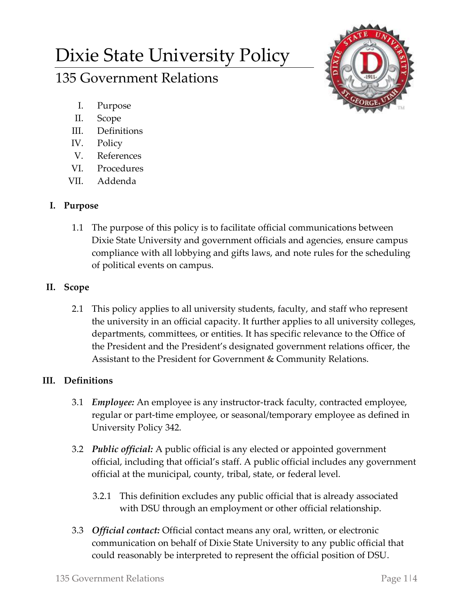# Dixie State University Policy

# 135 Government Relations

- I. Purpose
- II. Scope
- III. Definitions
- IV. Policy
- V. References
- VI. Procedures
- VII. Addenda

# **I. Purpose**

1.1 The purpose of this policy is to facilitate official communications between Dixie State University and government officials and agencies, ensure campus compliance with all lobbying and gifts laws, and note rules for the scheduling of political events on campus.

# **II. Scope**

2.1 This policy applies to all university students, faculty, and staff who represent the university in an official capacity. It further applies to all university colleges, departments, committees, or entities. It has specific relevance to the Office of the President and the President's designated government relations officer, the Assistant to the President for Government & Community Relations.

# **III. Definitions**

- 3.1 *Employee:* An employee is any instructor-track faculty, contracted employee, regular or part-time employee, or seasonal/temporary employee as defined in University Policy 342.
- 3.2 *Public official:* A public official is any elected or appointed government official, including that official's staff. A public official includes any government official at the municipal, county, tribal, state, or federal level.
	- 3.2.1 This definition excludes any public official that is already associated with DSU through an employment or other official relationship.
- 3.3 *Official contact:* Official contact means any oral, written, or electronic communication on behalf of Dixie State University to any public official that could reasonably be interpreted to represent the official position of DSU.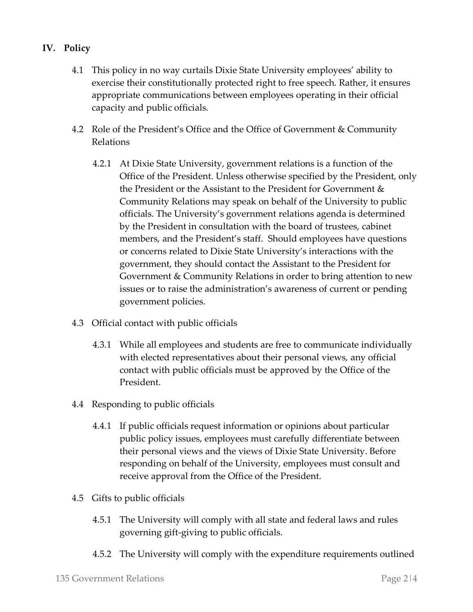### **IV. Policy**

- 4.1 This policy in no way curtails Dixie State University employees' ability to exercise their constitutionally protected right to free speech. Rather, it ensures appropriate communications between employees operating in their official capacity and public officials.
- 4.2 Role of the President's Office and the Office of Government & Community Relations
	- 4.2.1 At Dixie State University, government relations is a function of the Office of the President. Unless otherwise specified by the President, only the President or the Assistant to the President for Government & Community Relations may speak on behalf of the University to public officials. The University's government relations agenda is determined by the President in consultation with the board of trustees, cabinet members, and the President's staff. Should employees have questions or concerns related to Dixie State University's interactions with the government, they should contact the Assistant to the President for Government & Community Relations in order to bring attention to new issues or to raise the administration's awareness of current or pending government policies.
- 4.3 Official contact with public officials
	- 4.3.1 While all employees and students are free to communicate individually with elected representatives about their personal views, any official contact with public officials must be approved by the Office of the President.
- 4.4 Responding to public officials
	- 4.4.1 If public officials request information or opinions about particular public policy issues, employees must carefully differentiate between their personal views and the views of Dixie State University. Before responding on behalf of the University, employees must consult and receive approval from the Office of the President.
- 4.5 Gifts to public officials
	- 4.5.1 The University will comply with all state and federal laws and rules governing gift-giving to public officials.
	- 4.5.2 The University will comply with the expenditure requirements outlined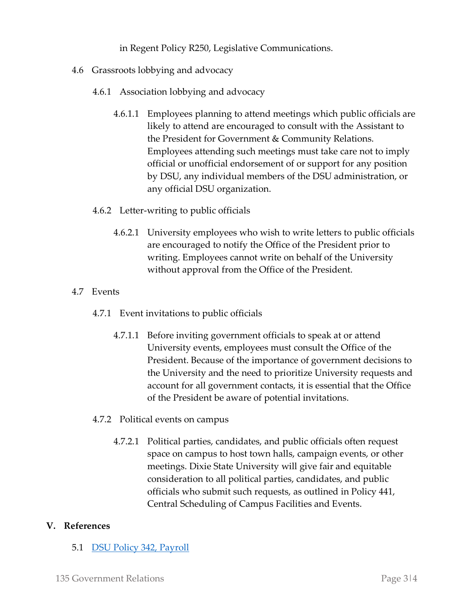in Regent Policy R250, Legislative Communications.

- 4.6 Grassroots lobbying and advocacy
	- 4.6.1 Association lobbying and advocacy
		- 4.6.1.1 Employees planning to attend meetings which public officials are likely to attend are encouraged to consult with the Assistant to the President for Government & Community Relations. Employees attending such meetings must take care not to imply official or unofficial endorsement of or support for any position by DSU, any individual members of the DSU administration, or any official DSU organization.

#### 4.6.2 Letter-writing to public officials

4.6.2.1 University employees who wish to write letters to public officials are encouraged to notify the Office of the President prior to writing. Employees cannot write on behalf of the University without approval from the Office of the President.

#### 4.7 Events

- 4.7.1 Event invitations to public officials
	- 4.7.1.1 Before inviting government officials to speak at or attend University events, employees must consult the Office of the President. Because of the importance of government decisions to the University and the need to prioritize University requests and account for all government contacts, it is essential that the Office of the President be aware of potential invitations.
- 4.7.2 Political events on campus
	- 4.7.2.1 Political parties, candidates, and public officials often request space on campus to host town halls, campaign events, or other meetings. Dixie State University will give fair and equitable consideration to all political parties, candidates, and public officials who submit such requests, as outlined in Policy 441, Central Scheduling of Campus Facilities and Events.

#### **V. References**

5.1 [DSU Policy 342, Payroll](https://dixie.edu/wp-content/uploads/formidable/52/342.pdf)